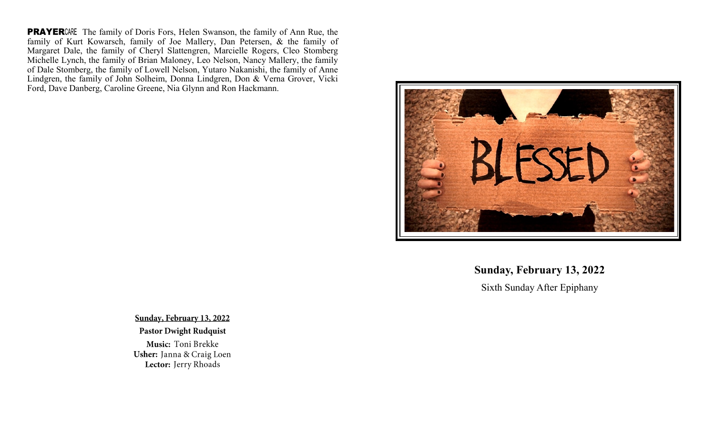**PRAYER**CARE The family of Doris Fors, Helen Swanson, the family of Ann Rue, the family of Kurt Kowarsch, family of Joe Mallery, Dan Petersen, & the family of Margaret Dale, the family of Cheryl Slattengren, Marcielle Rogers, Cleo Stomberg Michelle Lynch, the family of Brian Maloney, Leo Nelson, Nancy Mallery, the family of Dale Stomberg, the family of Lowell Nelson, Yutaro Nakanishi, the family of Anne Lindgren, the family of John Solheim, Donna Lindgren, Don & Verna Grover, Vicki Ford, Dave Danberg, Caroline Greene, Nia Glynn and Ron Hackmann.



**Sunday, February 13, 2022**

Sixth Sunday After Epiphany

Sunday, February 13, 2022

### **Pastor Dwight Rudquist**

Music: Toni Brekke Usher: Janna & Craig Loen Lector: Jerry Rhoads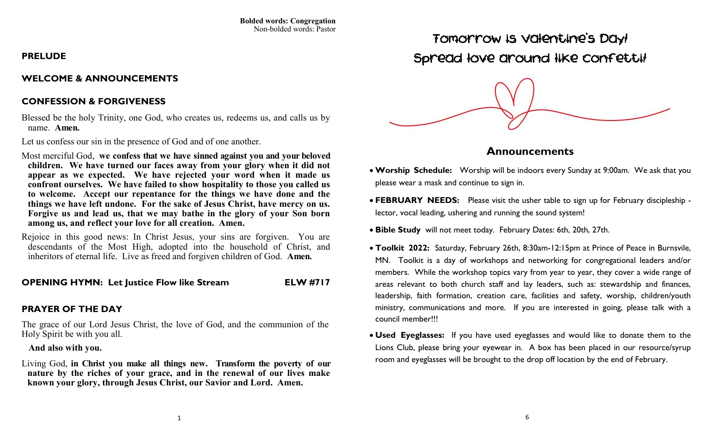### **PRELUDE**

### **WELCOME & ANNOUNCEMENTS**

## **CONFESSION & FORGIVENESS**

Blessed be the holy Trinity, one God, who creates us, redeems us, and calls us by name. **Amen.** 

Let us confess our sin in the presence of God and of one another.

- Most merciful God, **we confess that we have sinned against you and your beloved children. We have turned our faces away from your glory when it did not appear as we expected. We have rejected your word when it made us confront ourselves. We have failed to show hospitality to those you called us to welcome. Accept our repentance for the things we have done and the things we have left undone. For the sake of Jesus Christ, have mercy on us. Forgive us and lead us, that we may bathe in the glory of your Son born among us, and reflect your love for all creation. Amen.**
- Rejoice in this good news: In Christ Jesus, your sins are forgiven. You are descendants of the Most High, adopted into the household of Christ, and inheritors of eternal life. Live as freed and forgiven children of God. **Amen.**

### **OPENING HYMN: Let Justice Flow like Stream ELW #717**

## **PRAYER OF THE DAY**

The grace of our Lord Jesus Christ, the love of God, and the communion of the Holy Spirit be with you all.

#### **And also with you.**

Living God, **in Christ you make all things new. Transform the poverty of our nature by the riches of your grace, and in the renewal of our lives make known your glory, through Jesus Christ, our Savior and Lord. Amen.**

Tomorrow is Valentine's Day! Spread love around like confetti!



# **Announcements**

- **Worship Schedule:** Worship will be indoors every Sunday at 9:00am. We ask that you please wear a mask and continue to sign in.
- **FEBRUARY NEEDS:** Please visit the usher table to sign up for February discipleship lector, vocal leading, ushering and running the sound system!
- **Bible Study** will not meet today. February Dates: 6th, 20th, 27th.
- **Toolkit 2022:** Saturday, February 26th, 8:30am-12:15pm at Prince of Peace in Burnsvile, MN. Toolkit is a day of workshops and networking for congregational leaders and/or members. While the workshop topics vary from year to year, they cover a wide range of areas relevant to both church staff and lay leaders, such as: stewardship and finances, leadership, faith formation, creation care, facilities and safety, worship, children/youth ministry, communications and more. If you are interested in going, please talk with a council member!!!
- **Used Eyeglasses:** If you have used eyeglasses and would like to donate them to the Lions Club, please bring your eyewear in. A box has been placed in our resource/syrup room and eyeglasses will be brought to the drop off location by the end of February.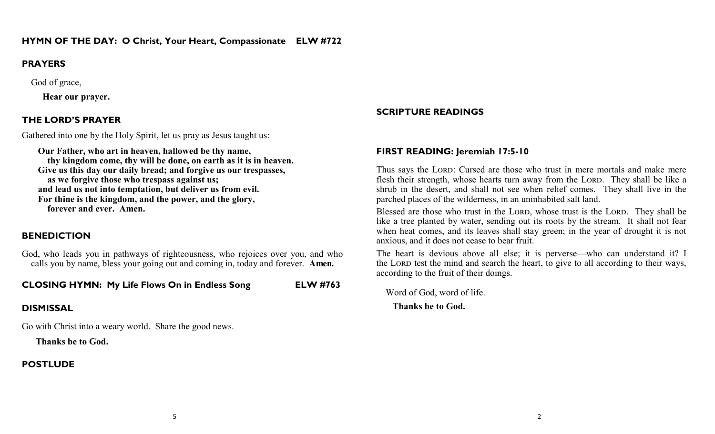## **PRAYERS**

God of grace,

 **Hear our prayer.**

# **THE LORD'S PRAYER**

Gathered into one by the Holy Spirit, let us pray as Jesus taught us:

 **Our Father, who art in heaven, hallowed be thy name, thy kingdom come, thy will be done, on earth as it is in heaven. Give us this day our daily bread; and forgive us our trespasses, as we forgive those who trespass against us; and lead us not into temptation, but deliver us from evil. For thine is the kingdom, and the power, and the glory, forever and ever. Amen.**

# **BENEDICTION**

God, who leads you in pathways of righteousness, who rejoices over you, and who calls you by name, bless your going out and coming in, today and forever. **Amen.**

**CLOSING HYMN: My Life Flows On in Endless Song ELW #763**

# **DISMISSAL**

Go with Christ into a weary world. Share the good news.

 **Thanks be to God.** 

# **POSTLUDE**

# **SCRIPTURE READINGS**

## **FIRST READING: Jeremiah 17:5-10**

Thus says the LORD: Cursed are those who trust in mere mortals and make mere flesh their strength, whose hearts turn away from the Lord. They shall be like a shrub in the desert, and shall not see when relief comes. They shall live in the parched places of the wilderness, in an uninhabited salt land.

Blessed are those who trust in the LORD, whose trust is the LORD. They shall be like a tree planted by water, sending out its roots by the stream. It shall not fear when heat comes, and its leaves shall stay green; in the year of drought it is not anxious, and it does not cease to bear fruit.

The heart is devious above all else; it is perverse—who can understand it? I the Lord test the mind and search the heart, to give to all according to their ways, according to the fruit of their doings.

Word of God, word of life.

 **Thanks be to God.**